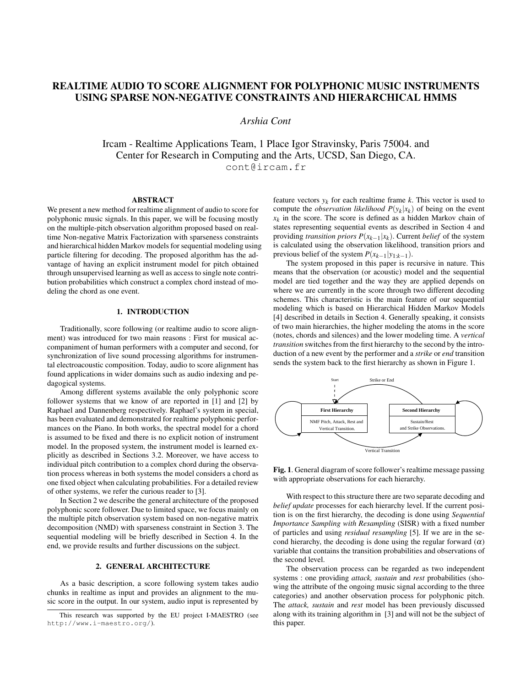# REALTIME AUDIO TO SCORE ALIGNMENT FOR POLYPHONIC MUSIC INSTRUMENTS USING SPARSE NON-NEGATIVE CONSTRAINTS AND HIERARCHICAL HMMS

*Arshia Cont*

Ircam - Realtime Applications Team, 1 Place Igor Stravinsky, Paris 75004. and Center for Research in Computing and the Arts, UCSD, San Diego, CA. cont@ircam.fr

### ABSTRACT

We present a new method for realtime alignment of audio to score for polyphonic music signals. In this paper, we will be focusing mostly on the multiple-pitch observation algorithm proposed based on realtime Non-negative Matrix Factorization with sparseness constraints and hierarchical hidden Markov models for sequential modeling using particle filtering for decoding. The proposed algorithm has the advantage of having an explicit instrument model for pitch obtained through unsupervised learning as well as access to single note contribution probabilities which construct a complex chord instead of modeling the chord as one event.

# 1. INTRODUCTION

Traditionally, score following (or realtime audio to score alignment) was introduced for two main reasons : First for musical accompaniment of human performers with a computer and second, for synchronization of live sound processing algorithms for instrumental electroacoustic composition. Today, audio to score alignment has found applications in wider domains such as audio indexing and pedagogical systems.

Among different systems available the only polyphonic score follower systems that we know of are reported in [1] and [2] by Raphael and Dannenberg respectively. Raphael's system in special, has been evaluated and demonstrated for realtime polyphonic performances on the Piano. In both works, the spectral model for a chord is assumed to be fixed and there is no explicit notion of instrument model. In the proposed system, the instrument model is learned explicitly as described in Sections 3.2. Moreover, we have access to individual pitch contribution to a complex chord during the observation process whereas in both systems the model considers a chord as one fixed object when calculating probabilities. For a detailed review of other systems, we refer the curious reader to [3].

In Section 2 we describe the general architecture of the proposed polyphonic score follower. Due to limited space, we focus mainly on the multiple pitch observation system based on non-negative matrix decomposition (NMD) with sparseness constraint in Section 3. The sequential modeling will be briefly described in Section 4. In the end, we provide results and further discussions on the subject.

# 2. GENERAL ARCHITECTURE

As a basic description, a score following system takes audio chunks in realtime as input and provides an alignment to the music score in the output. In our system, audio input is represented by

feature vectors  $y_k$  for each realtime frame  $k$ . This vector is used to compute the *observation likelihood*  $P(y_k|x_k)$  of being on the event  $x_k$  in the score. The score is defined as a hidden Markov chain of states representing sequential events as described in Section 4 and providing *transition priors*  $P(x_{k-1}|x_k)$ . Current *belief* of the system is calculated using the observation likelihood, transition priors and previous belief of the system  $P(x_{k-1}|y_{1:k-1})$ .

The system proposed in this paper is recursive in nature. This means that the observation (or acoustic) model and the sequential model are tied together and the way they are applied depends on where we are currently in the score through two different decoding schemes. This characteristic is the main feature of our sequential modeling which is based on Hierarchical Hidden Markov Models [4] described in details in Section 4. Generally speaking, it consists of two main hierarchies, the higher modeling the atoms in the score (notes, chords and silences) and the lower modeling time. A *vertical transition* switches from the first hierarchy to the second by the introduction of a new event by the performer and a *strike* or *end* transition sends the system back to the first hierarchy as shown in Figure 1.



Fig. 1. General diagram of score follower's realtime message passing with appropriate observations for each hierarchy.

With respect to this structure there are two separate decoding and *belief update* processes for each hierarchy level. If the current position is on the first hierarchy, the decoding is done using *Sequential Importance Sampling with Resampling* (SISR) with a fixed number of particles and using *residual resampling* [5]. If we are in the second hierarchy, the decoding is done using the regular forward  $(\alpha)$ variable that contains the transition probabilities and observations of the second level.

The observation process can be regarded as two independent systems : one providing *attack, sustain* and *rest* probabilities (showing the attribute of the ongoing music signal according to the three categories) and another observation process for polyphonic pitch. The *attack, sustain* and *rest* model has been previously discussed along with its training algorithm in [3] and will not be the subject of this paper.

This research was supported by the EU project I-MAESTRO (see http://www.i-maestro.org/).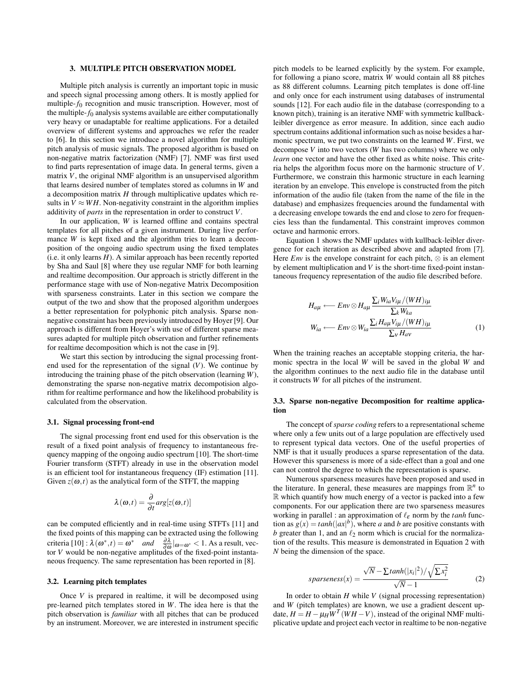#### 3. MULTIPLE PITCH OBSERVATION MODEL

Multiple pitch analysis is currently an important topic in music and speech signal processing among others. It is mostly applied for multiple- $f_0$  recognition and music transcription. However, most of the multiple- $f_0$  analysis systems available are either computationally very heavy or unadaptable for realtime applications. For a detailed overview of different systems and approaches we refer the reader to [6]. In this section we introduce a novel algorithm for multiple pitch analysis of music signals. The proposed algorithm is based on non-negative matrix factorization (NMF) [7]. NMF was first used to find parts representation of image data. In general terms, given a matrix *V*, the original NMF algorithm is an unsupervised algorithm that learns desired number of templates stored as columns in *W* and a decomposition matrix *H* through multiplicative updates which results in  $V \approx WH$ . Non-negativity constraint in the algorithm implies additivity of *parts* in the representation in order to construct *V*.

In our application, *W* is learned offline and contains spectral templates for all pitches of a given instrument. During live performance *W* is kept fixed and the algorithm tries to learn a decomposition of the ongoing audio spectrum using the fixed templates (i.e. it only learns *H*). A similar approach has been recently reported by Sha and Saul [8] where they use regular NMF for both learning and realtime decomposition. Our approach is strictly different in the performance stage with use of Non-negative Matrix Decomposition with sparseness constraints. Later in this section we compare the output of the two and show that the proposed algorithm undergoes a better representation for polyphonic pitch analysis. Sparse nonnegative constraint has been previously introduced by Hoyer [9]. Our approach is different from Hoyer's with use of different sparse measures adapted for multiple pitch observation and further refinements for realtime decomposition which is not the case in [9].

We start this section by introducing the signal processing frontend used for the representation of the signal (*V*). We continue by introducing the training phase of the pitch observation (learning *W*), demonstrating the sparse non-negative matrix decompotision algorithm for realtime performance and how the likelihood probability is calculated from the observation.

#### 3.1. Signal processing front-end

The signal processing front end used for this observation is the result of a fixed point analysis of frequency to instantaneous frequency mapping of the ongoing audio spectrum [10]. The short-time Fourier transform (STFT) already in use in the observation model is an efficient tool for instantaneous frequency (IF) estimation [11]. Given  $z(\omega, t)$  as the analytical form of the STFT, the mapping

$$
\lambda(\boldsymbol{\omega},t) = \frac{\partial}{\partial t} \arg[z(\boldsymbol{\omega},t)]
$$

can be computed efficiently and in real-time using STFTs [11] and the fixed points of this mapping can be extracted using the following criteria  $[10]$ :  $\lambda(\omega^*,t) = \omega^*$  *and*  $\frac{\partial \lambda}{\partial \omega}|_{\omega=\omega^*} < 1$ . As a result, vector *V* would be non-negative amplitudes of the fixed-point instantaneous frequency. The same representation has been reported in [8].

#### 3.2. Learning pitch templates

Once *V* is prepared in realtime, it will be decomposed using pre-learned pitch templates stored in *W*. The idea here is that the pitch observation is *familiar* with all pitches that can be produced by an instrument. Moreover, we are interested in instrument specific

pitch models to be learned explicitly by the system. For example, for following a piano score, matrix *W* would contain all 88 pitches as 88 different columns. Learning pitch templates is done off-line and only once for each instrument using databases of instrumental sounds [12]. For each audio file in the database (corresponding to a known pitch), training is an iterative NMF with symmetric kullbackleibler divergence as error measure. In addition, since each audio spectrum contains additional information such as noise besides a harmonic spectrum, we put two constraints on the learned *W*. First, we decompose *V* into two vectors (*W* has two columns) where we only *learn* one vector and have the other fixed as white noise. This criteria helps the algorithm focus more on the harmonic structure of *V*. Furthermore, we constrain this harmonic structure in each learning iteration by an envelope. This envelope is constructed from the pitch information of the audio file (taken from the name of the file in the database) and emphasizes frequencies around the fundamental with a decreasing envelope towards the end and close to zero for frequencies less than the fundamental. This constraint improves common octave and harmonic errors.

Equation 1 shows the NMF updates with kullback-leibler divergence for each iteration as described above and adapted from [7]. Here  $Env$  is the envelope constraint for each pitch,  $\otimes$  is an element by element multiplication and *V* is the short-time fixed-point instantaneous frequency representation of the audio file described before.

$$
H_{a\mu} \longleftarrow \text{Env} \otimes H_{a\mu} \frac{\sum_{i} W_{ia} V_{i\mu} / (WH)_{i\mu}}{\sum_{k} W_{ka}}
$$

$$
W_{ia} \longleftarrow \text{Env} \otimes W_{ia} \frac{\sum_{i} H_{a\mu} V_{i\mu} / (WH)_{i\mu}}{\sum_{v} H_{av}}
$$
(1)

When the training reaches an acceptable stopping criteria, the harmonic spectra in the local *W* will be saved in the global *W* and the algorithm continues to the next audio file in the database until it constructs *W* for all pitches of the instrument.

## 3.3. Sparse non-negative Decomposition for realtime application

The concept of *sparse coding* refers to a representational scheme where only a few units out of a large population are effectively used to represent typical data vectors. One of the useful properties of NMF is that it usually produces a sparse representation of the data. However this sparseness is more of a side-effect than a goal and one can not control the degree to which the representation is sparse.

Numerous sparseness measures have been proposed and used in the literature. In general, these measures are mappings from  $\mathbb{R}^n$  to R which quantify how much energy of a vector is packed into a few components. For our application there are two sparseness measures working in parallel : an approximation of  $\ell_{\varepsilon}$  norm by the *tanh* function as  $g(x) = \tanh(|ax|^b)$ , where *a* and *b* are positive constants with *b* greater than 1, and an  $\ell_2$  norm which is crucial for the normalization of the results. This measure is demonstrated in Equation 2 with *N* being the dimension of the space.

$$
sparseness(x) = \frac{\sqrt{N} - \sum tanh(|x_i|^2) / \sqrt{\sum x_i^2}}{\sqrt{N} - 1}
$$
 (2)

In order to obtain *H* while *V* (signal processing representation) and *W* (pitch templates) are known, we use a gradient descent update,  $H = H - \mu_H \overline{W}^T (W H - V)$ , instead of the original NMF multiplicative update and project each vector in realtime to be non-negative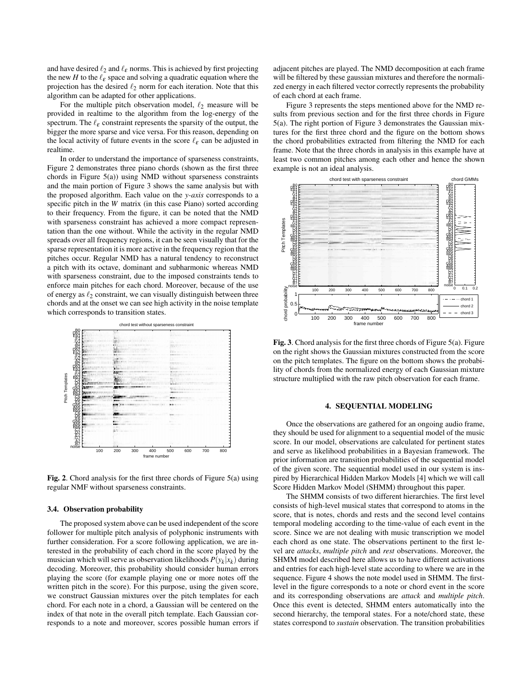and have desired  $\ell_2$  and  $\ell_{\varepsilon}$  norms. This is achieved by first projecting the new *H* to the  $\ell_{\epsilon}$  space and solving a quadratic equation where the projection has the desired  $\ell_2$  norm for each iteration. Note that this algorithm can be adapted for other applications.

For the multiple pitch observation model,  $\ell_2$  measure will be provided in realtime to the algorithm from the log-energy of the spectrum. The  $\ell_{\varepsilon}$  constraint represents the sparsity of the output, the bigger the more sparse and vice versa. For this reason, depending on the local activity of future events in the score  $\ell_{\varepsilon}$  can be adjusted in realtime.

In order to understand the importance of sparseness constraints, Figure 2 demonstrates three piano chords (shown as the first three chords in Figure 5(a)) using NMD without sparseness constraints and the main portion of Figure 3 shows the same analysis but with the proposed algorithm. Each value on the *y-axis* corresponds to a specific pitch in the *W* matrix (in this case Piano) sorted according to their frequency. From the figure, it can be noted that the NMD with sparseness constraint has achieved a more compact representation than the one without. While the activity in the regular NMD spreads over all frequency regions, it can be seen visually that for the sparse representation it is more active in the frequency region that the pitches occur. Regular NMD has a natural tendency to reconstruct a pitch with its octave, dominant and subharmonic whereas NMD with sparseness constraint, due to the imposed constraints tends to enforce main pitches for each chord. Moreover, because of the use of energy as  $\ell_2$  constraint, we can visually distinguish between three chords and at the onset we can see high activity in the noise template which corresponds to transition states.



Fig. 2. Chord analysis for the first three chords of Figure 5(a) using regular NMF without sparseness constraints.

#### 3.4. Observation probability

The proposed system above can be used independent of the score follower for multiple pitch analysis of polyphonic instruments with further consideration. For a score following application, we are interested in the probability of each chord in the score played by the musician which will serve as observation likelihoods  $P(y_k|x_k)$  during decoding. Moreover, this probability should consider human errors playing the score (for example playing one or more notes off the written pitch in the score). For this purpose, using the given score, we construct Gaussian mixtures over the pitch templates for each chord. For each note in a chord, a Gaussian will be centered on the index of that note in the overall pitch template. Each Gaussian corresponds to a note and moreover, scores possible human errors if adjacent pitches are played. The NMD decomposition at each frame will be filtered by these gaussian mixtures and therefore the normalized energy in each filtered vector correctly represents the probability of each chord at each frame.

Figure 3 represents the steps mentioned above for the NMD results from previous section and for the first three chords in Figure 5(a). The right portion of Figure 3 demonstrates the Gaussian mixtures for the first three chord and the figure on the bottom shows the chord probabilities extracted from filtering the NMD for each frame. Note that the three chords in analysis in this example have at least two common pitches among each other and hence the shown example is not an ideal analysis.



Fig. 3. Chord analysis for the first three chords of Figure 5(a). Figure on the right shows the Gaussian mixtures constructed from the score on the pitch templates. The figure on the bottom shows the probability of chords from the normalized energy of each Gaussian mixture structure multiplied with the raw pitch observation for each frame.

## 4. SEQUENTIAL MODELING

Once the observations are gathered for an ongoing audio frame, they should be used for alignment to a sequential model of the music score. In our model, observations are calculated for pertinent states and serve as likelihood probabilities in a Bayesian framework. The prior information are transition probabilities of the sequential model of the given score. The sequential model used in our system is inspired by Hierarchical Hidden Markov Models [4] which we will call Score Hidden Markov Model (SHMM) throughout this paper.

The SHMM consists of two different hierarchies. The first level consists of high-level musical states that correspond to atoms in the score, that is notes, chords and rests and the second level contains temporal modeling according to the time-value of each event in the score. Since we are not dealing with music transcription we model each chord as one state. The observations pertinent to the first level are *attacks*, *multiple pitch* and *rest* observations. Moreover, the SHMM model described here allows us to have different activations and entries for each high-level state according to where we are in the sequence. Figure 4 shows the note model used in SHMM. The firstlevel in the figure corresponds to a note or chord event in the score and its corresponding observations are *attack* and *multiple pitch*. Once this event is detected, SHMM enters automatically into the second hierarchy, the temporal states. For a note/chord state, these states correspond to *sustain* observation. The transition probabilities